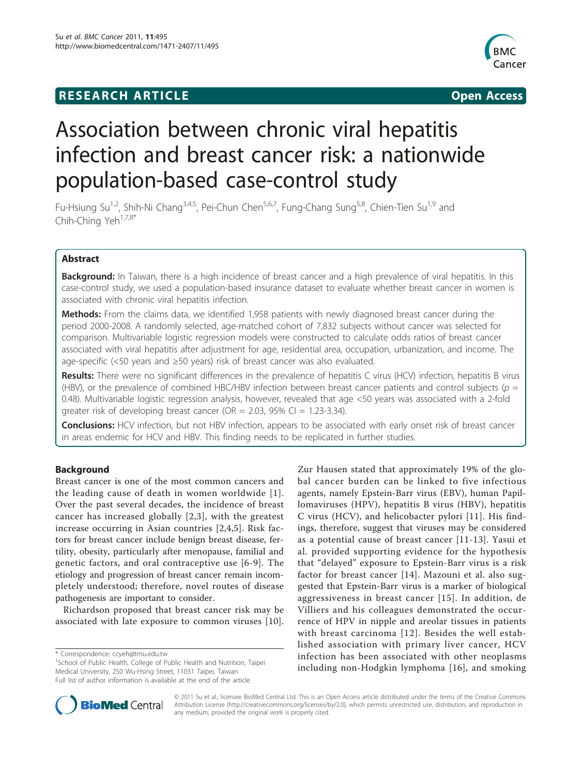# **RESEARCH ARTICLE Example 2008 CONSIDERING CONSIDERING CONSIDERING CONSIDERING CONSIDERING CONSIDERING CONSIDERING CONSIDERING CONSIDERING CONSIDERING CONSIDERING CONSIDERING CONSIDERING CONSIDERING CONSIDERING CONSIDE**



# Association between chronic viral hepatitis infection and breast cancer risk: a nationwide population-based case-control study

Fu-Hsiung Su<sup>1,2</sup>, Shih-Ni Chang<sup>3,4,5</sup>, Pei-Chun Chen<sup>5,6,7</sup>, Fung-Chang Sung<sup>5,8</sup>, Chien-Tien Su<sup>1,9</sup> and Chih-Ching Yeh $1,7,8^*$ 

# Abstract

Background: In Taiwan, there is a high incidence of breast cancer and a high prevalence of viral hepatitis. In this case-control study, we used a population-based insurance dataset to evaluate whether breast cancer in women is associated with chronic viral hepatitis infection.

Methods: From the claims data, we identified 1,958 patients with newly diagnosed breast cancer during the period 2000-2008. A randomly selected, age-matched cohort of 7,832 subjects without cancer was selected for comparison. Multivariable logistic regression models were constructed to calculate odds ratios of breast cancer associated with viral hepatitis after adjustment for age, residential area, occupation, urbanization, and income. The age-specific (<50 years and ≥50 years) risk of breast cancer was also evaluated.

Results: There were no significant differences in the prevalence of hepatitis C virus (HCV) infection, hepatitis B virus (HBV), or the prevalence of combined HBC/HBV infection between breast cancer patients and control subjects ( $p =$ 0.48). Multivariable logistic regression analysis, however, revealed that age <50 years was associated with a 2-fold greater risk of developing breast cancer (OR =  $2.03$ , 95% CI = 1.23-3.34).

**Conclusions:** HCV infection, but not HBV infection, appears to be associated with early onset risk of breast cancer in areas endemic for HCV and HBV. This finding needs to be replicated in further studies.

# Background

Breast cancer is one of the most common cancers and the leading cause of death in women worldwide [[1\]](#page-5-0). Over the past several decades, the incidence of breast cancer has increased globally [\[2,3](#page-5-0)], with the greatest increase occurring in Asian countries [\[2](#page-5-0),[4,5](#page-5-0)]. Risk factors for breast cancer include benign breast disease, fertility, obesity, particularly after menopause, familial and genetic factors, and oral contraceptive use [[6](#page-5-0)-[9](#page-5-0)]. The etiology and progression of breast cancer remain incompletely understood; therefore, novel routes of disease pathogenesis are important to consider.

Richardson proposed that breast cancer risk may be associated with late exposure to common viruses [[10](#page-5-0)].

Zur Hausen stated that approximately 19% of the global cancer burden can be linked to five infectious agents, namely Epstein-Barr virus (EBV), human Papillomaviruses (HPV), hepatitis B virus (HBV), hepatitis C virus (HCV), and helicobacter pylori [\[11\]](#page-5-0). His findings, therefore, suggest that viruses may be considered as a potential cause of breast cancer [\[11-13\]](#page-5-0). Yasui et al. provided supporting evidence for the hypothesis that "delayed" exposure to Epstein-Barr virus is a risk factor for breast cancer [[14](#page-5-0)]. Mazouni et al. also suggested that Epstein-Barr virus is a marker of biological aggressiveness in breast cancer [[15](#page-5-0)]. In addition, de Villiers and his colleagues demonstrated the occurrence of HPV in nipple and areolar tissues in patients with breast carcinoma [[12](#page-5-0)]. Besides the well established association with primary liver cancer, HCV infection has been associated with other neoplasms including non-Hodgkin lymphoma [[16](#page-5-0)], and smoking



© 2011 Su et al.; licensee BioMed Central Ltd. This is an Open Access article distributed under the terms of the Creative Commons Attribution License [\(http://creativecommons.org/licenses/by/2.0](http://creativecommons.org/licenses/by/2.0)), which permits unrestricted use, distribution, and reproduction in any medium, provided the original work is properly cited.

<sup>\*</sup> Correspondence: [ccyeh@tmu.edu.tw](mailto:ccyeh@tmu.edu.tw)

<sup>&</sup>lt;sup>1</sup>School of Public Health, College of Public Health and Nutrition, Taipei Medical University, 250 Wu-Hsing Street, 11031 Taipei, Taiwan Full list of author information is available at the end of the article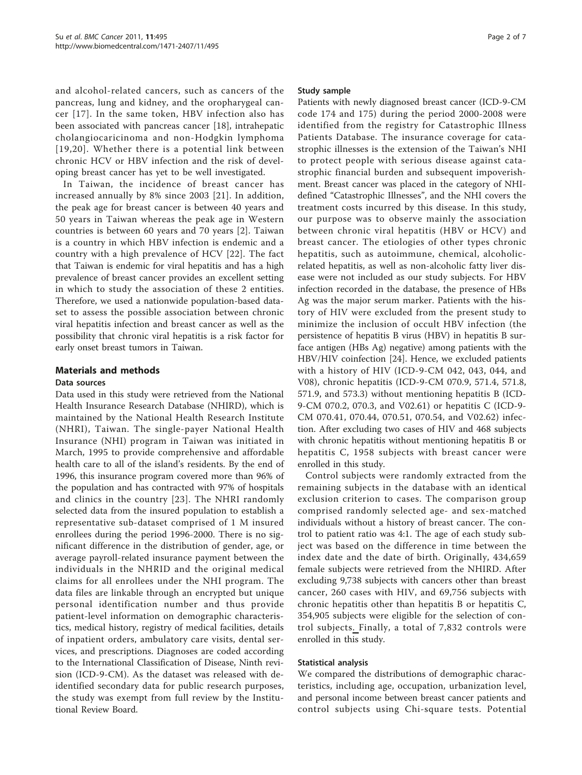and alcohol-related cancers, such as cancers of the pancreas, lung and kidney, and the oropharygeal cancer [[17](#page-5-0)]. In the same token, HBV infection also has been associated with pancreas cancer [[18\]](#page-5-0), intrahepatic cholangiocaricinoma and non-Hodgkin lymphoma [[19](#page-5-0),[20\]](#page-5-0). Whether there is a potential link between chronic HCV or HBV infection and the risk of developing breast cancer has yet to be well investigated.

In Taiwan, the incidence of breast cancer has increased annually by 8% since 2003 [[21](#page-5-0)]. In addition, the peak age for breast cancer is between 40 years and 50 years in Taiwan whereas the peak age in Western countries is between 60 years and 70 years [[2\]](#page-5-0). Taiwan is a country in which HBV infection is endemic and a country with a high prevalence of HCV [[22](#page-5-0)]. The fact that Taiwan is endemic for viral hepatitis and has a high prevalence of breast cancer provides an excellent setting in which to study the association of these 2 entities. Therefore, we used a nationwide population-based dataset to assess the possible association between chronic viral hepatitis infection and breast cancer as well as the possibility that chronic viral hepatitis is a risk factor for early onset breast tumors in Taiwan.

# Materials and methods

### Data sources

Data used in this study were retrieved from the National Health Insurance Research Database (NHIRD), which is maintained by the National Health Research Institute (NHRI), Taiwan. The single-payer National Health Insurance (NHI) program in Taiwan was initiated in March, 1995 to provide comprehensive and affordable health care to all of the island's residents. By the end of 1996, this insurance program covered more than 96% of the population and has contracted with 97% of hospitals and clinics in the country [[23](#page-5-0)]. The NHRI randomly selected data from the insured population to establish a representative sub-dataset comprised of 1 M insured enrollees during the period 1996-2000. There is no significant difference in the distribution of gender, age, or average payroll-related insurance payment between the individuals in the NHRID and the original medical claims for all enrollees under the NHI program. The data files are linkable through an encrypted but unique personal identification number and thus provide patient-level information on demographic characteristics, medical history, registry of medical facilities, details of inpatient orders, ambulatory care visits, dental services, and prescriptions. Diagnoses are coded according to the International Classification of Disease, Ninth revision (ICD-9-CM). As the dataset was released with deidentified secondary data for public research purposes, the study was exempt from full review by the Institutional Review Board.

#### Study sample

Patients with newly diagnosed breast cancer (ICD-9-CM code 174 and 175) during the period 2000-2008 were identified from the registry for Catastrophic Illness Patients Database. The insurance coverage for catastrophic illnesses is the extension of the Taiwan's NHI to protect people with serious disease against catastrophic financial burden and subsequent impoverishment. Breast cancer was placed in the category of NHIdefined "Catastrophic Illnesses", and the NHI covers the treatment costs incurred by this disease. In this study, our purpose was to observe mainly the association between chronic viral hepatitis (HBV or HCV) and breast cancer. The etiologies of other types chronic hepatitis, such as autoimmune, chemical, alcoholicrelated hepatitis, as well as non-alcoholic fatty liver disease were not included as our study subjects. For HBV infection recorded in the database, the presence of HBs Ag was the major serum marker. Patients with the history of HIV were excluded from the present study to minimize the inclusion of occult HBV infection (the persistence of hepatitis B virus (HBV) in hepatitis B surface antigen (HBs Ag) negative) among patients with the HBV/HIV coinfection [[24](#page-5-0)]. Hence, we excluded patients with a history of HIV (ICD-9-CM 042, 043, 044, and V08), chronic hepatitis (ICD-9-CM 070.9, 571.4, 571.8, 571.9, and 573.3) without mentioning hepatitis B (ICD-9-CM 070.2, 070.3, and V02.61) or hepatitis C (ICD-9- CM 070.41, 070.44, 070.51, 070.54, and V02.62) infection. After excluding two cases of HIV and 468 subjects with chronic hepatitis without mentioning hepatitis B or hepatitis C, 1958 subjects with breast cancer were enrolled in this study.

Control subjects were randomly extracted from the remaining subjects in the database with an identical exclusion criterion to cases. The comparison group comprised randomly selected age- and sex-matched individuals without a history of breast cancer. The control to patient ratio was 4:1. The age of each study subject was based on the difference in time between the index date and the date of birth. Originally, 434,659 female subjects were retrieved from the NHIRD. After excluding 9,738 subjects with cancers other than breast cancer, 260 cases with HIV, and 69,756 subjects with chronic hepatitis other than hepatitis B or hepatitis C, 354,905 subjects were eligible for the selection of control subjects. Finally, a total of 7,832 controls were enrolled in this study.

# Statistical analysis

We compared the distributions of demographic characteristics, including age, occupation, urbanization level, and personal income between breast cancer patients and control subjects using Chi-square tests. Potential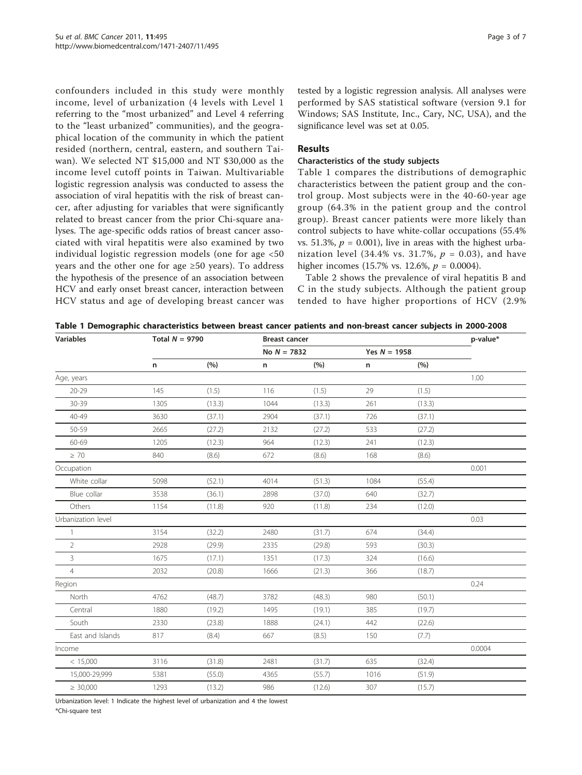confounders included in this study were monthly income, level of urbanization (4 levels with Level 1 referring to the "most urbanized" and Level 4 referring to the "least urbanized" communities), and the geographical location of the community in which the patient resided (northern, central, eastern, and southern Taiwan). We selected NT \$15,000 and NT \$30,000 as the income level cutoff points in Taiwan. Multivariable logistic regression analysis was conducted to assess the association of viral hepatitis with the risk of breast cancer, after adjusting for variables that were significantly related to breast cancer from the prior Chi-square analyses. The age-specific odds ratios of breast cancer associated with viral hepatitis were also examined by two individual logistic regression models (one for age <50 years and the other one for age ≥50 years). To address the hypothesis of the presence of an association between HCV and early onset breast cancer, interaction between HCV status and age of developing breast cancer was

tested by a logistic regression analysis. All analyses were performed by SAS statistical software (version 9.1 for Windows; SAS Institute, Inc., Cary, NC, USA), and the significance level was set at 0.05.

# Results

# Characteristics of the study subjects

Table 1 compares the distributions of demographic characteristics between the patient group and the control group. Most subjects were in the 40-60-year age group (64.3% in the patient group and the control group). Breast cancer patients were more likely than control subjects to have white-collar occupations (55.4% vs. 51.3%,  $p = 0.001$ ), live in areas with the highest urbanization level (34.4% vs. 31.7%,  $p = 0.03$ ), and have higher incomes  $(15.7\% \text{ vs. } 12.6\%, p = 0.0004)$ .

Table [2](#page-3-0) shows the prevalence of viral hepatitis B and C in the study subjects. Although the patient group tended to have higher proportions of HCV (2.9%

|  |  |  | Table 1 Demographic characteristics between breast cancer patients and non-breast cancer subjects in 2000-2008 |  |  |  |  |  |
|--|--|--|----------------------------------------------------------------------------------------------------------------|--|--|--|--|--|
|--|--|--|----------------------------------------------------------------------------------------------------------------|--|--|--|--|--|

| Total $N = 9790$ |        |      | <b>Breast cancer</b> |               |        |                |  |  |
|------------------|--------|------|----------------------|---------------|--------|----------------|--|--|
|                  |        |      |                      |               |        |                |  |  |
| n                | (%)    | n    | (%)                  | n             | (%)    |                |  |  |
|                  |        |      |                      |               |        | 1.00           |  |  |
| 145              | (1.5)  | 116  | (1.5)                | 29            | (1.5)  |                |  |  |
| 1305             | (13.3) | 1044 | (13.3)               | 261           | (13.3) |                |  |  |
| 3630             | (37.1) | 2904 | (37.1)               | 726           | (37.1) |                |  |  |
| 2665             | (27.2) | 2132 | (27.2)               | 533           | (27.2) |                |  |  |
| 1205             | (12.3) | 964  | (12.3)               | 241           | (12.3) |                |  |  |
| 840              | (8.6)  | 672  | (8.6)                | 168           | (8.6)  |                |  |  |
|                  |        |      |                      |               |        | 0.001          |  |  |
| 5098             | (52.1) | 4014 | (51.3)               | 1084          | (55.4) |                |  |  |
| 3538             | (36.1) | 2898 | (37.0)               | 640           | (32.7) |                |  |  |
| 1154             | (11.8) | 920  | (11.8)               | 234           | (12.0) |                |  |  |
|                  |        |      |                      |               |        | 0.03           |  |  |
| 3154             | (32.2) | 2480 | (31.7)               | 674           | (34.4) |                |  |  |
| 2928             | (29.9) | 2335 | (29.8)               | 593           | (30.3) |                |  |  |
| 1675             | (17.1) | 1351 | (17.3)               | 324           | (16.6) |                |  |  |
| 2032             | (20.8) | 1666 | (21.3)               | 366           | (18.7) |                |  |  |
|                  |        |      |                      |               |        | 0.24           |  |  |
| 4762             | (48.7) | 3782 | (48.3)               | 980           | (50.1) |                |  |  |
| 1880             | (19.2) | 1495 | (19.1)               | 385           | (19.7) |                |  |  |
| 2330             | (23.8) | 1888 | (24.1)               | 442           | (22.6) |                |  |  |
| 817              | (8.4)  | 667  | (8.5)                | 150           | (7.7)  |                |  |  |
|                  |        |      |                      |               |        | 0.0004         |  |  |
| 3116             | (31.8) | 2481 | (31.7)               | 635           | (32.4) |                |  |  |
| 5381             | (55.0) | 4365 | (55.7)               | 1016          | (51.9) |                |  |  |
| 1293             | (13.2) | 986  | (12.6)               | 307           | (15.7) |                |  |  |
|                  |        |      |                      | No $N = 7832$ |        | Yes $N = 1958$ |  |  |

Urbanization level: 1 Indicate the highest level of urbanization and 4 the lowest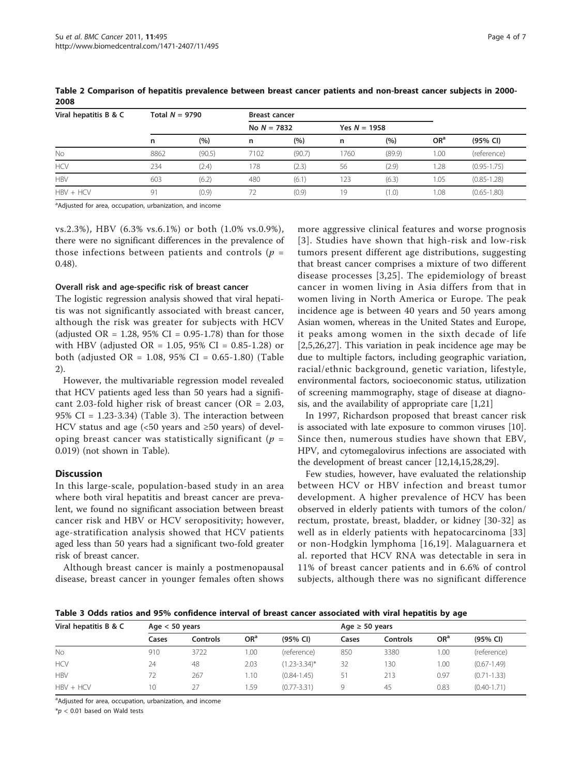| Viral hepatitis B & C | Total $N = 9790$ |        | <b>Breast cancer</b> |        |      |        |                 |                 |
|-----------------------|------------------|--------|----------------------|--------|------|--------|-----------------|-----------------|
|                       |                  |        | No $N = 7832$        |        |      |        | Yes $N = 1958$  |                 |
|                       | n                | (%)    | n                    | (%)    | n    | (%)    | OR <sup>a</sup> | (95% CI)        |
| No                    | 8862             | (90.5) | 7102                 | (90.7) | 1760 | (89.9) | .00             | (reference)     |
| <b>HCV</b>            | 234              | (2.4)  | 178                  | (2.3)  | 56   | (2.9)  | .28             | $(0.95 - 1.75)$ |
| <b>HBV</b>            | 603              | (6.2)  | 480                  | (6.1)  | 123  | (6.3)  | 05. ،           | $(0.85 - 1.28)$ |
| $HBV + HCV$           | 91               | (0.9)  | 72                   | (0.9)  | 19   | (1.0)  | .08             | $(0.65 - 1.80)$ |

<span id="page-3-0"></span>Table 2 Comparison of hepatitis prevalence between breast cancer patients and non-breast cancer subjects in 2000- 2008

<sup>a</sup>Adjusted for area, occupation, urbanization, and income

vs.2.3%), HBV (6.3% vs.6.1%) or both (1.0% vs.0.9%), there were no significant differences in the prevalence of those infections between patients and controls ( $p =$ 0.48).

#### Overall risk and age-specific risk of breast cancer

The logistic regression analysis showed that viral hepatitis was not significantly associated with breast cancer, although the risk was greater for subjects with HCV (adjusted OR = 1.28,  $95\%$  CI = 0.95-1.78) than for those with HBV (adjusted OR =  $1.05$ , 95% CI =  $0.85 - 1.28$ ) or both (adjusted OR = 1.08, 95% CI = 0.65-1.80) (Table 2).

However, the multivariable regression model revealed that HCV patients aged less than 50 years had a significant 2.03-fold higher risk of breast cancer (OR = 2.03, 95% CI =  $1.23-3.34$ ) (Table 3). The interaction between HCV status and age (<50 years and  $\geq$ 50 years) of developing breast cancer was statistically significant ( $p =$ 0.019) (not shown in Table).

# **Discussion**

In this large-scale, population-based study in an area where both viral hepatitis and breast cancer are prevalent, we found no significant association between breast cancer risk and HBV or HCV seropositivity; however, age-stratification analysis showed that HCV patients aged less than 50 years had a significant two-fold greater risk of breast cancer.

Although breast cancer is mainly a postmenopausal disease, breast cancer in younger females often shows

more aggressive clinical features and worse prognosis [[3\]](#page-5-0). Studies have shown that high-risk and low-risk tumors present different age distributions, suggesting that breast cancer comprises a mixture of two different disease processes [\[3,25\]](#page-5-0). The epidemiology of breast cancer in women living in Asia differs from that in women living in North America or Europe. The peak incidence age is between 40 years and 50 years among Asian women, whereas in the United States and Europe, it peaks among women in the sixth decade of life [[2,5,26,27](#page-5-0)]. This variation in peak incidence age may be due to multiple factors, including geographic variation, racial/ethnic background, genetic variation, lifestyle, environmental factors, socioeconomic status, utilization of screening mammography, stage of disease at diagnosis, and the availability of appropriate care [\[1,21\]](#page-5-0)

In 1997, Richardson proposed that breast cancer risk is associated with late exposure to common viruses [\[10](#page-5-0)]. Since then, numerous studies have shown that EBV, HPV, and cytomegalovirus infections are associated with the development of breast cancer [\[12,14,15,28,29](#page-5-0)].

Few studies, however, have evaluated the relationship between HCV or HBV infection and breast tumor development. A higher prevalence of HCV has been observed in elderly patients with tumors of the colon/ rectum, prostate, breast, bladder, or kidney [[30](#page-5-0)-[32](#page-6-0)] as well as in elderly patients with hepatocarcinoma [[33](#page-6-0)] or non-Hodgkin lymphoma [[16,19\]](#page-5-0). Malaguarnera et al. reported that HCV RNA was detectable in sera in 11% of breast cancer patients and in 6.6% of control subjects, although there was no significant difference

Table 3 Odds ratios and 95% confidence interval of breast cancer associated with viral hepatitis by age

| Viral hepatitis B & C | Age $<$ 50 years |          |                 |                   |       | Age $\geq$ 50 years |                   |                 |  |
|-----------------------|------------------|----------|-----------------|-------------------|-------|---------------------|-------------------|-----------------|--|
|                       | Cases            | Controls | OR <sup>a</sup> | (95% CI)          | Cases | Controls            | OR <sup>a</sup>   | (95% CI)        |  |
| No                    | 910              | 3722     | .00             | (reference)       | 850   | 3380                | 1.00 <sub>1</sub> | (reference)     |  |
| <b>HCV</b>            | 24               | 48       | 2.03            | $(1.23 - 3.34)^*$ | 32    | 130                 | 1.00              | $(0.67 - 1.49)$ |  |
| <b>HBV</b>            |                  | 267      | .10             | $(0.84 - 1.45)$   |       | 213                 | 0.97              | $(0.71 - 1.33)$ |  |
| $HBV + HCV$           | 10               |          | .59             | $(0.77 - 3.31)$   |       | 45                  | 0.83              | $(0.40 - 1.71)$ |  |

<sup>a</sup>Adjusted for area, occupation, urbanization, and income

 $*p < 0.01$  based on Wald tests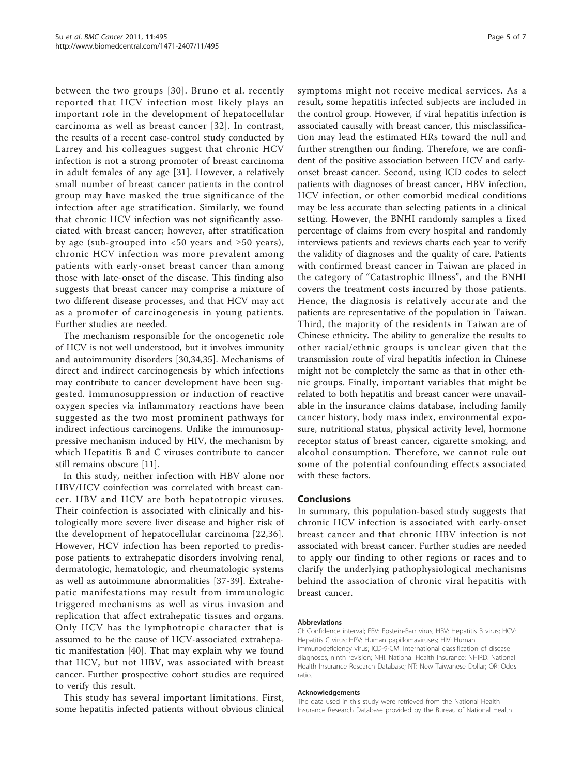between the two groups [[30\]](#page-5-0). Bruno et al. recently reported that HCV infection most likely plays an important role in the development of hepatocellular carcinoma as well as breast cancer [[32\]](#page-6-0). In contrast, the results of a recent case-control study conducted by Larrey and his colleagues suggest that chronic HCV infection is not a strong promoter of breast carcinoma in adult females of any age [[31\]](#page-5-0). However, a relatively small number of breast cancer patients in the control group may have masked the true significance of the infection after age stratification. Similarly, we found that chronic HCV infection was not significantly associated with breast cancer; however, after stratification by age (sub-grouped into  $\langle 50 \rangle$  years and  $\geq 50$  years), chronic HCV infection was more prevalent among patients with early-onset breast cancer than among those with late-onset of the disease. This finding also suggests that breast cancer may comprise a mixture of two different disease processes, and that HCV may act as a promoter of carcinogenesis in young patients. Further studies are needed.

The mechanism responsible for the oncogenetic role of HCV is not well understood, but it involves immunity and autoimmunity disorders [[30](#page-5-0)[,34](#page-6-0),[35\]](#page-6-0). Mechanisms of direct and indirect carcinogenesis by which infections may contribute to cancer development have been suggested. Immunosuppression or induction of reactive oxygen species via inflammatory reactions have been suggested as the two most prominent pathways for indirect infectious carcinogens. Unlike the immunosuppressive mechanism induced by HIV, the mechanism by which Hepatitis B and C viruses contribute to cancer still remains obscure [\[11\]](#page-5-0).

In this study, neither infection with HBV alone nor HBV/HCV coinfection was correlated with breast cancer. HBV and HCV are both hepatotropic viruses. Their coinfection is associated with clinically and histologically more severe liver disease and higher risk of the development of hepatocellular carcinoma [[22](#page-5-0),[36\]](#page-6-0). However, HCV infection has been reported to predispose patients to extrahepatic disorders involving renal, dermatologic, hematologic, and rheumatologic systems as well as autoimmune abnormalities [[37-39\]](#page-6-0). Extrahepatic manifestations may result from immunologic triggered mechanisms as well as virus invasion and replication that affect extrahepatic tissues and organs. Only HCV has the lymphotropic character that is assumed to be the cause of HCV-associated extrahepatic manifestation [\[40](#page-6-0)]. That may explain why we found that HCV, but not HBV, was associated with breast cancer. Further prospective cohort studies are required to verify this result.

This study has several important limitations. First, some hepatitis infected patients without obvious clinical symptoms might not receive medical services. As a result, some hepatitis infected subjects are included in the control group. However, if viral hepatitis infection is associated causally with breast cancer, this misclassification may lead the estimated HRs toward the null and further strengthen our finding. Therefore, we are confident of the positive association between HCV and earlyonset breast cancer. Second, using ICD codes to select patients with diagnoses of breast cancer, HBV infection, HCV infection, or other comorbid medical conditions may be less accurate than selecting patients in a clinical setting. However, the BNHI randomly samples a fixed percentage of claims from every hospital and randomly interviews patients and reviews charts each year to verify the validity of diagnoses and the quality of care. Patients with confirmed breast cancer in Taiwan are placed in the category of "Catastrophic Illness", and the BNHI covers the treatment costs incurred by those patients. Hence, the diagnosis is relatively accurate and the patients are representative of the population in Taiwan. Third, the majority of the residents in Taiwan are of Chinese ethnicity. The ability to generalize the results to other racial/ethnic groups is unclear given that the transmission route of viral hepatitis infection in Chinese might not be completely the same as that in other ethnic groups. Finally, important variables that might be related to both hepatitis and breast cancer were unavailable in the insurance claims database, including family cancer history, body mass index, environmental exposure, nutritional status, physical activity level, hormone receptor status of breast cancer, cigarette smoking, and alcohol consumption. Therefore, we cannot rule out some of the potential confounding effects associated with these factors.

#### Conclusions

In summary, this population-based study suggests that chronic HCV infection is associated with early-onset breast cancer and that chronic HBV infection is not associated with breast cancer. Further studies are needed to apply our finding to other regions or races and to clarify the underlying pathophysiological mechanisms behind the association of chronic viral hepatitis with breast cancer.

#### Abbreviations

CI: Confidence interval; EBV: Epstein-Barr virus; HBV: Hepatitis B virus; HCV: Hepatitis C virus; HPV: Human papillomaviruses; HIV: Human immunodeficiency virus; ICD-9-CM: International classification of disease diagnoses, ninth revision; NHI: National Health Insurance; NHIRD: National Health Insurance Research Database; NT: New Taiwanese Dollar; OR: Odds ratio.

#### Acknowledgements

The data used in this study were retrieved from the National Health Insurance Research Database provided by the Bureau of National Health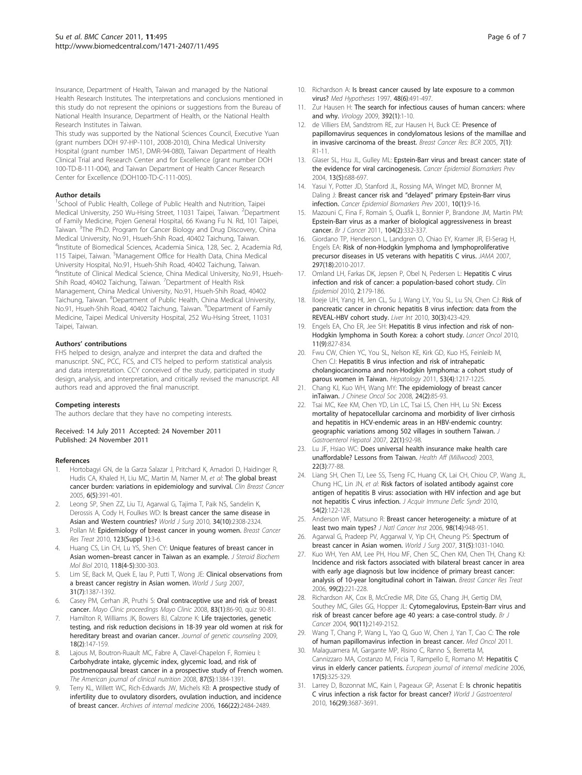<span id="page-5-0"></span>Insurance, Department of Health, Taiwan and managed by the National Health Research Institutes. The interpretations and conclusions mentioned in this study do not represent the opinions or suggestions from the Bureau of National Health Insurance, Department of Health, or the National Health Research Institutes in Taiwan.

This study was supported by the National Sciences Council, Executive Yuan (grant numbers DOH 97-HP-1101, 2008-2010), China Medical University Hospital (grant number 1MS1, DMR-94-080), Taiwan Department of Health Clinical Trial and Research Center and for Excellence (grant number DOH 100-TD-B-111-004), and Taiwan Department of Health Cancer Research Center for Excellence (DOH100-TD-C-111-005).

#### Author details

<sup>1</sup>School of Public Health, College of Public Health and Nutrition, Taipei Medical University, 250 Wu-Hsing Street, 11031 Taipei, Taiwan. <sup>2</sup>Department of Family Medicine, Pojen General Hospital, 66 Kwang Fu N. Rd, 101 Taipei, Taiwan. <sup>3</sup>The Ph.D. Program for Cancer Biology and Drug Discovery, China Medical University, No.91, Hsueh-Shih Road, 40402 Taichung, Taiwan. 4 Institute of Biomedical Sciences, Academia Sinica, 128, Sec. 2, Academia Rd, 115 Taipei, Taiwan. <sup>5</sup>Management Office for Health Data, China Medical University Hospital, No.91, Hsueh-Shih Road, 40402 Taichung, Taiwan. <sup>6</sup>Institute of Clinical Medical Science, China Medical University, No.91, Hsueh-Shih Road, 40402 Taichung, Taiwan. <sup>7</sup>Department of Health Risk Management, China Medical University, No.91, Hsueh-Shih Road, 40402 Taichung, Taiwan. <sup>8</sup>Department of Public Health, China Medical University, No.91, Hsueh-Shih Road, 40402 Taichung, Taiwan. <sup>9</sup>Department of Family Medicine, Taipei Medical University Hospital, 252 Wu-Hsing Street, 11031 Taipei, Taiwan.

#### Authors' contributions

FHS helped to design, analyze and interpret the data and drafted the manuscript. SNC, PCC, FCS, and CTS helped to perform statistical analysis and data interpretation. CCY conceived of the study, participated in study design, analysis, and interpretation, and critically revised the manuscript. All authors read and approved the final manuscript.

#### Competing interests

The authors declare that they have no competing interests.

Received: 14 July 2011 Accepted: 24 November 2011 Published: 24 November 2011

#### References

- 1. Hortobagyi GN, de la Garza Salazar J, Pritchard K, Amadori D, Haidinger R, Hudis CA, Khaled H, Liu MC, Martin M, Namer M, et al: [The global breast](http://www.ncbi.nlm.nih.gov/pubmed/16381622?dopt=Abstract) [cancer burden: variations in epidemiology and survival.](http://www.ncbi.nlm.nih.gov/pubmed/16381622?dopt=Abstract) Clin Breast Cancer 2005, 6(5):391-401.
- Leong SP, Shen ZZ, Liu TJ, Agarwal G, Tajima T, Paik NS, Sandelin K, Derossis A, Cody H, Foulkes WD: [Is breast cancer the same disease in](http://www.ncbi.nlm.nih.gov/pubmed/20607258?dopt=Abstract) [Asian and Western countries?](http://www.ncbi.nlm.nih.gov/pubmed/20607258?dopt=Abstract) World J Surg 2010, 34(10):2308-2324.
- 3. Pollan M: [Epidemiology of breast cancer in young women.](http://www.ncbi.nlm.nih.gov/pubmed/20711654?dopt=Abstract) Breast Cancer Res Treat 2010, 123(Suppl 1):3-6.
- 4. Huang CS, Lin CH, Lu YS, Shen CY: [Unique features of breast cancer in](http://www.ncbi.nlm.nih.gov/pubmed/20045728?dopt=Abstract) Asian women-[breast cancer in Taiwan as an example.](http://www.ncbi.nlm.nih.gov/pubmed/20045728?dopt=Abstract) J Steroid Biochem Mol Biol 2010, 118(4-5):300-303.
- Lim SE, Back M, Quek E, Iau P, Putti T, Wong JE: [Clinical observations from](http://www.ncbi.nlm.nih.gov/pubmed/17510768?dopt=Abstract) [a breast cancer registry in Asian women.](http://www.ncbi.nlm.nih.gov/pubmed/17510768?dopt=Abstract) World J Surg 2007, 31(7):1387-1392.
- 6. Casey PM, Cerhan JR, Pruthi S: [Oral contraceptive use and risk of breast](http://www.ncbi.nlm.nih.gov/pubmed/18174010?dopt=Abstract) [cancer.](http://www.ncbi.nlm.nih.gov/pubmed/18174010?dopt=Abstract) Mayo Clinic proceedings Mayo Clinic 2008, 83(1):86-90, quiz 90-81.
- 7. Hamilton R, Williams JK, Bowers BJ, Calzone K: [Life trajectories, genetic](http://www.ncbi.nlm.nih.gov/pubmed/18979190?dopt=Abstract) [testing, and risk reduction decisions in 18-39 year old women at risk for](http://www.ncbi.nlm.nih.gov/pubmed/18979190?dopt=Abstract) [hereditary breast and ovarian cancer.](http://www.ncbi.nlm.nih.gov/pubmed/18979190?dopt=Abstract) Journal of genetic counseling 2009, 18(2):147-159.
- 8. Lajous M, Boutron-Ruault MC, Fabre A, Clavel-Chapelon F, Romieu I: [Carbohydrate intake, glycemic index, glycemic load, and risk of](http://www.ncbi.nlm.nih.gov/pubmed/18469262?dopt=Abstract) [postmenopausal breast cancer in a prospective study of French women.](http://www.ncbi.nlm.nih.gov/pubmed/18469262?dopt=Abstract) The American journal of clinical nutrition 2008, 87(5):1384-1391.
- Terry KL, Willett WC, Rich-Edwards JW, Michels KB: [A prospective study of](http://www.ncbi.nlm.nih.gov/pubmed/17159014?dopt=Abstract) [infertility due to ovulatory disorders, ovulation induction, and incidence](http://www.ncbi.nlm.nih.gov/pubmed/17159014?dopt=Abstract) [of breast cancer.](http://www.ncbi.nlm.nih.gov/pubmed/17159014?dopt=Abstract) Archives of internal medicine 2006, 166(22):2484-2489.
- 10. Richardson A: [Is breast cancer caused by late exposure to a common](http://www.ncbi.nlm.nih.gov/pubmed/9247892?dopt=Abstract) [virus?](http://www.ncbi.nlm.nih.gov/pubmed/9247892?dopt=Abstract) Med Hypotheses 1997, 48(6):491-497.
- 11. Zur Hausen H: [The search for infectious causes of human cancers: where](http://www.ncbi.nlm.nih.gov/pubmed/19720205?dopt=Abstract) [and why.](http://www.ncbi.nlm.nih.gov/pubmed/19720205?dopt=Abstract) Virology 2009, 392(1):1-10.
- 12. de Villiers EM, Sandstrom RE, zur Hausen H, Buck CE: [Presence of](http://www.ncbi.nlm.nih.gov/pubmed/15642157?dopt=Abstract) [papillomavirus sequences in condylomatous lesions of the mamillae and](http://www.ncbi.nlm.nih.gov/pubmed/15642157?dopt=Abstract) [in invasive carcinoma of the breast.](http://www.ncbi.nlm.nih.gov/pubmed/15642157?dopt=Abstract) Breast Cancer Res: BCR 2005, 7(1): R1-11.
- 13. Glaser SL, Hsu JL, Gulley ML: [Epstein-Barr virus and breast cancer: state of](http://www.ncbi.nlm.nih.gov/pubmed/15159298?dopt=Abstract) [the evidence for viral carcinogenesis.](http://www.ncbi.nlm.nih.gov/pubmed/15159298?dopt=Abstract) Cancer Epidemiol Biomarkers Prev 2004, 13(5):688-697.
- 14. Yasui Y, Potter JD, Stanford JL, Rossing MA, Winget MD, Bronner M, Daling J: Breast cancer risk and "delayed" [primary Epstein-Barr virus](http://www.ncbi.nlm.nih.gov/pubmed/11205495?dopt=Abstract) [infection.](http://www.ncbi.nlm.nih.gov/pubmed/11205495?dopt=Abstract) Cancer Epidemiol Biomarkers Prev 2001, 10(1):9-16.
- 15. Mazouni C, Fina F, Romain S, Ouafik L, Bonnier P, Brandone JM, Martin PM: [Epstein-Barr virus as a marker of biological aggressiveness in breast](http://www.ncbi.nlm.nih.gov/pubmed/21179039?dopt=Abstract) [cancer.](http://www.ncbi.nlm.nih.gov/pubmed/21179039?dopt=Abstract) Br J Cancer 2011, 104(2):332-337.
- 16. Giordano TP, Henderson L, Landgren O, Chiao EY, Kramer JR, El-Serag H, Engels EA: [Risk of non-Hodgkin lymphoma and lymphoproliferative](http://www.ncbi.nlm.nih.gov/pubmed/17488966?dopt=Abstract) [precursor diseases in US veterans with hepatitis C virus.](http://www.ncbi.nlm.nih.gov/pubmed/17488966?dopt=Abstract) JAMA 2007, 297(18):2010-2017.
- 17. Omland LH, Farkas DK, Jepsen P, Obel N, Pedersen L: [Hepatitis C virus](http://www.ncbi.nlm.nih.gov/pubmed/20865115?dopt=Abstract) [infection and risk of cancer: a population-based cohort study.](http://www.ncbi.nlm.nih.gov/pubmed/20865115?dopt=Abstract) Clin Epidemiol 2010, 2:179-186.
- 18. Iloeje UH, Yang HI, Jen CL, Su J, Wang LY, You SL, Lu SN, Chen CJ: [Risk of](http://www.ncbi.nlm.nih.gov/pubmed/19840258?dopt=Abstract) [pancreatic cancer in chronic hepatitis B virus infection: data from the](http://www.ncbi.nlm.nih.gov/pubmed/19840258?dopt=Abstract) [REVEAL-HBV cohort study.](http://www.ncbi.nlm.nih.gov/pubmed/19840258?dopt=Abstract) Liver Int 2010, 30(3):423-429.
- 19. Engels EA, Cho ER, Jee SH: [Hepatitis B virus infection and risk of non-](http://www.ncbi.nlm.nih.gov/pubmed/20688564?dopt=Abstract)[Hodgkin lymphoma in South Korea: a cohort study.](http://www.ncbi.nlm.nih.gov/pubmed/20688564?dopt=Abstract) Lancet Oncol 2010, 11(9):827-834.
- 20. Fwu CW, Chien YC, You SL, Nelson KE, Kirk GD, Kuo HS, Feinleib M, Chen CJ: [Hepatitis B virus infection and risk of intrahepatic](http://www.ncbi.nlm.nih.gov/pubmed/21480326?dopt=Abstract) [cholangiocarcinoma and non-Hodgkin lymphoma: a cohort study of](http://www.ncbi.nlm.nih.gov/pubmed/21480326?dopt=Abstract) [parous women in Taiwan.](http://www.ncbi.nlm.nih.gov/pubmed/21480326?dopt=Abstract) Hepatology 2011, 53(4):1217-1225.
- 21. Chang KJ, Kuo WH, Wang MY: The epidemiology of breast cancer inTaiwan. J Chinese Oncol Soc 2008, 24(2):85-93.
- 22. Tsai MC, Kee KM, Chen YD, Lin LC, Tsai LS, Chen HH, Lu SN: [Excess](http://www.ncbi.nlm.nih.gov/pubmed/17201888?dopt=Abstract) [mortality of hepatocellular carcinoma and morbidity of liver cirrhosis](http://www.ncbi.nlm.nih.gov/pubmed/17201888?dopt=Abstract) [and hepatitis in HCV-endemic areas in an HBV-endemic country:](http://www.ncbi.nlm.nih.gov/pubmed/17201888?dopt=Abstract) [geographic variations among 502 villages in southern Taiwan.](http://www.ncbi.nlm.nih.gov/pubmed/17201888?dopt=Abstract) J Gastroenterol Hepatol 2007, 22(1):92-98.
- 23. Lu JF, Hsiao WC: Does universal health insurance make health care unaffordable? Lessons from Taiwan. Health Aff (Millwood) 2003, 22(3):77-88.
- 24. Liang SH, Chen TJ, Lee SS, Tseng FC, Huang CK, Lai CH, Chiou CP, Wang JL, Chung HC, Lin JN, et al: [Risk factors of isolated antibody against core](http://www.ncbi.nlm.nih.gov/pubmed/20386111?dopt=Abstract) [antigen of hepatitis B virus: association with HIV infection and age but](http://www.ncbi.nlm.nih.gov/pubmed/20386111?dopt=Abstract) [not hepatitis C virus infection.](http://www.ncbi.nlm.nih.gov/pubmed/20386111?dopt=Abstract) J Acquir Immune Defic Syndr 2010, 54(2):122-128.
- 25. Anderson WF, Matsuno R: [Breast cancer heterogeneity: a mixture of at](http://www.ncbi.nlm.nih.gov/pubmed/16849671?dopt=Abstract) [least two main types?](http://www.ncbi.nlm.nih.gov/pubmed/16849671?dopt=Abstract) J Natl Cancer Inst 2006, 98(14):948-951.
- 26. Agarwal G, Pradeep PV, Aggarwal V, Yip CH, Cheung PS: [Spectrum of](http://www.ncbi.nlm.nih.gov/pubmed/17387549?dopt=Abstract) [breast cancer in Asian women.](http://www.ncbi.nlm.nih.gov/pubmed/17387549?dopt=Abstract) World J Surg 2007, 31(5):1031-1040.
- 27. Kuo WH, Yen AM, Lee PH, Hou MF, Chen SC, Chen KM, Chen TH, Chang KJ: [Incidence and risk factors associated with bilateral breast cancer in area](http://www.ncbi.nlm.nih.gov/pubmed/16544057?dopt=Abstract) [with early age diagnosis but low incidence of primary breast cancer:](http://www.ncbi.nlm.nih.gov/pubmed/16544057?dopt=Abstract) [analysis of 10-year longitudinal cohort in Taiwan.](http://www.ncbi.nlm.nih.gov/pubmed/16544057?dopt=Abstract) Breast Cancer Res Treat 2006, 99(2):221-228.
- 28. Richardson AK, Cox B, McCredie MR, Dite GS, Chang JH, Gertig DM, Southey MC, Giles GG, Hopper JL: [Cytomegalovirus, Epstein-Barr virus and](http://www.ncbi.nlm.nih.gov/pubmed/15150559?dopt=Abstract) [risk of breast cancer before age 40 years: a case-control study.](http://www.ncbi.nlm.nih.gov/pubmed/15150559?dopt=Abstract) Br J Cancer 2004, 90(11):2149-2152.
- 29. Wang T, Chang P, Wang L, Yao Q, Guo W, Chen J, Yan T, Cao C: The role of human papillomavirus infection in breast cancer. Med Oncol 2011.
- 30. Malaguarnera M, Gargante MP, Risino C, Ranno S, Berretta M, Cannizzaro MA, Costanzo M, Fricia T, Rampello E, Romano M: [Hepatitis C](http://www.ncbi.nlm.nih.gov/pubmed/16864006?dopt=Abstract) [virus in elderly cancer patients.](http://www.ncbi.nlm.nih.gov/pubmed/16864006?dopt=Abstract) European journal of internal medicine 2006, 17(5):325-329.
- 31. Larrey D, Bozonnat MC, Kain I, Pageaux GP, Assenat E: [Is chronic hepatitis](http://www.ncbi.nlm.nih.gov/pubmed/20677341?dopt=Abstract) [C virus infection a risk factor for breast cancer?](http://www.ncbi.nlm.nih.gov/pubmed/20677341?dopt=Abstract) World J Gastroenterol 2010, 16(29):3687-3691.